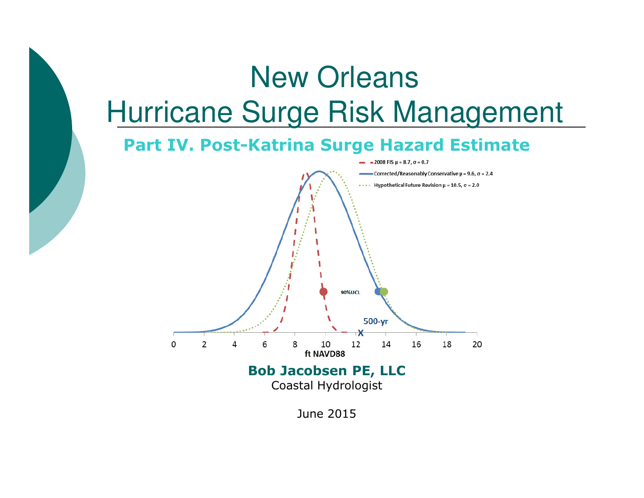# New OrleansHurricane Surge Risk Management

#### **Part IV. Post-Katrina Surge Hazard Estimate**



June 2015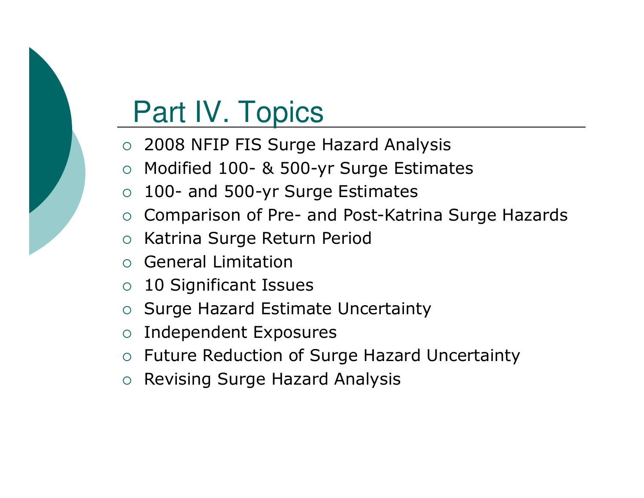# Part IV. Topics

- 2008 NFIP FIS Surge Hazard Analysis
- O Modified 100- & 500-yr Surge Estimates
- $\overline{O}$ 100- and 500-yr Surge Estimates
- o Comparison of Pre- and Post-Katrina Surge Hazards<br>c Katrina Surge Peture Peried
- $\overline{O}$ Katrina Surge Return Period
- o General Limitation
- o 10 Significant Issues
- $\bigcirc$ Surge Hazard Estimate Uncertainty
- $\Omega$ Independent Exposures
- o Future Reduction of Surge Hazard Uncertainty
- o Revising Surge Hazard Analysis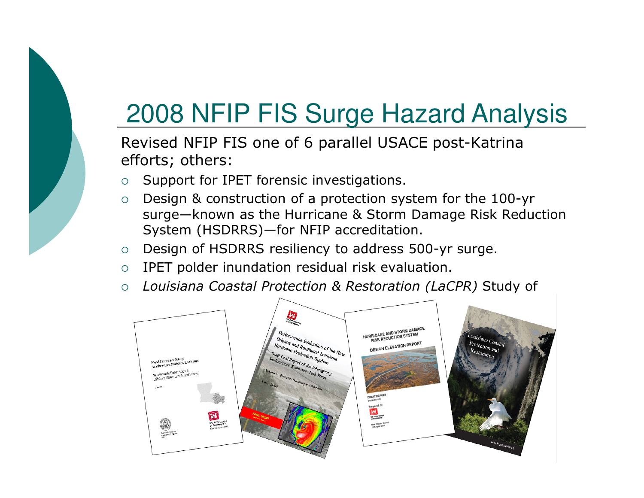

## 2008 NFIP FIS Surge Hazard Analysis

Revised NFIP FIS one of 6 parallel USACE post-Katrina efforts; others:

- $\circ$ Support for IPET forensic investigations.
- $\circ$  Design & construction of a protection system for the 100-yr surge—known as the Hurricane & Storm Damage Risk Reduction System (HSDRRS)—for NFIP accreditation.
- $\Omega$ Design of HSDRRS resiliency to address 500-yr surge.
- $\circ$ IPET polder inundation residual risk evaluation.
- $\circ$ *Louisiana Coastal Protection & Restoration (LaCPR)* Study of

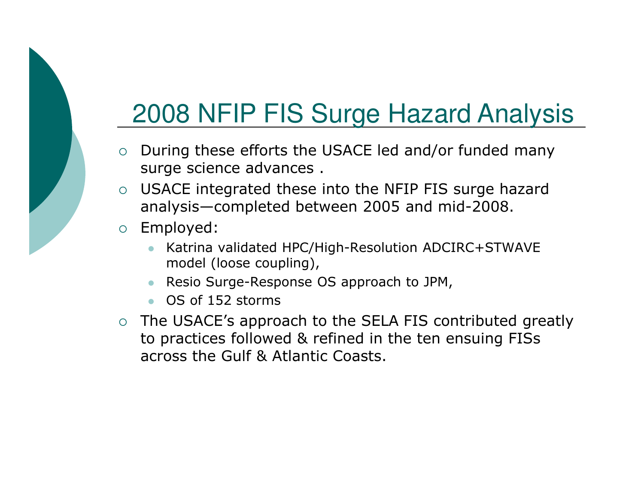#### 2008 NFIP FIS Surge Hazard Analysis

- $\circ$  During these efforts the USACE led and/or funded many surge science advances .
- $\circ$  USACE integrated these into the NFIP FIS surge hazard analysis—completed between 2005 and mid-2008.
- $\circ$  Employed:
	- - Katrina validated HPC/High-Resolution ADCIRC+STWAVEmodel (loose coupling),
	- Resio Surge-Response OS approach to JPM,
	- OS of 152 storms
- o The USACE's approach to the SELA FIS contributed greatly to practices followed & refined in the ten ensuing FISs across the Gulf & Atlantic Coasts.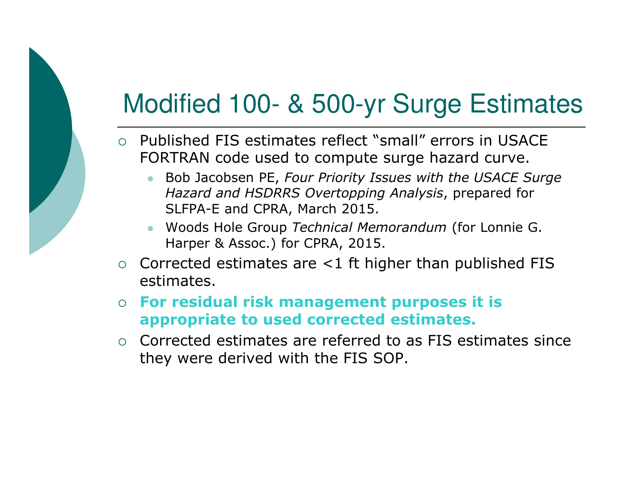## Modified 100- & 500-yr Surge Estimates

- o Published FIS estimates reflect "small" errors in USACE FORTRAN code used to compute surge hazard curve.
	- $\bullet$  Bob Jacobsen PE, *Four Priority Issues with the USACE Surge Hazard and HSDRRS Overtopping Analysis*, prepared for SLFPA-E and CPRA, March 2015.
	- Woods Hole Group *Technical Memorandum* (for Lonnie G. Harper & Assoc.) for CPRA, 2015.
- $\circ$  Corrected estimates are  $\lt 1$  ft higher than published FIS estimates.
- $\circ$  **For residual risk management purposes it is appropriate to used corrected estimates.**
- o Corrected estimates are referred to as FIS estimates since they were derived with the FIS SOP.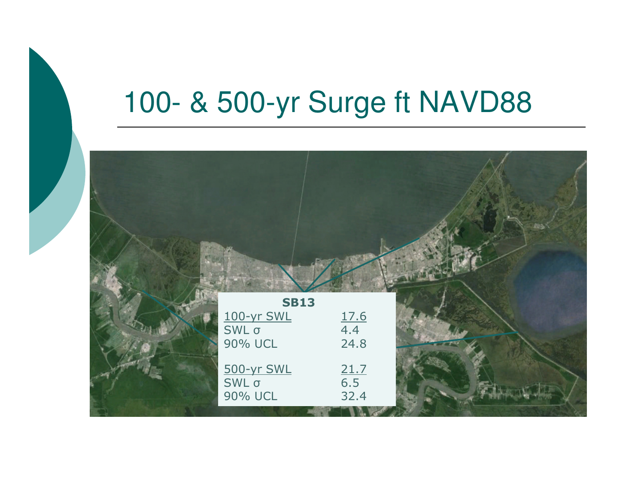## 100- & 500-yr Surge ft NAVD88

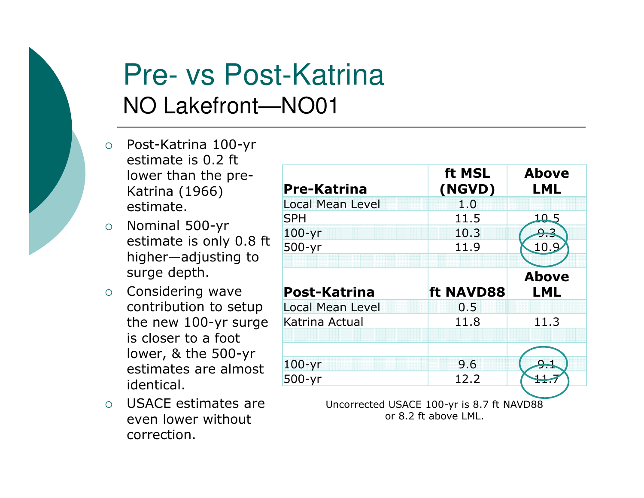

#### Pre- vs Post-KatrinaNO Lakefront—NO01

- Post-Katrina 100-yr estimate is 0.2 ft lower than the pre-Katrina (1966) estimate.
- $\circ$  Nominal 500-yr estimate is only 0.8 ft higher—adjusting to surge depth.
- o Considering wave contribution to setup the new 100-yr surge is closer to a foot lower, & the 500-yr estimates are almost identical.
- o USACE estimates are even lower without correction.

| <b>Pre-Katrina</b>      | ft MSL<br>(NGVD) | <b>Above</b><br><b>LML</b> |
|-------------------------|------------------|----------------------------|
| <b>Local Mean Level</b> | 1.0              |                            |
| <b>SPH</b>              | 11.5             |                            |
| $100 - yr$              | 10.3             |                            |
| 500-yr                  | 11.9             | <u> 10.9</u>               |
|                         |                  |                            |
|                         |                  | <b>Above</b>               |
| <b>Post-Katrina</b>     | ft NAVD88        | LML                        |
|                         | 0.5              |                            |
| Katrina Actual          | 11.8             | 11.3                       |
| <b>Local Mean Level</b> |                  |                            |
|                         |                  |                            |
| $100 - yr$              | 9.6              | يو                         |

or 8.2 ft above LML.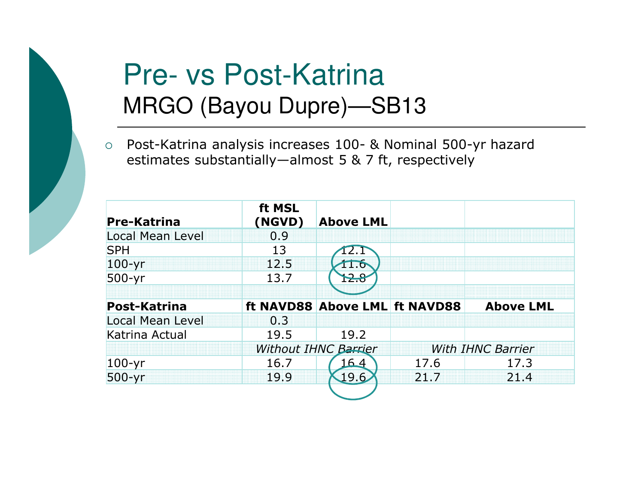

## Pre- vs Post-KatrinaMRGO (Bayou Dupre)—SB13

 $\circ$  Post-Katrina analysis increases 100- & Nominal 500-yr hazard estimates substantially—almost 5 & 7 ft, respectively

| <b>Pre-Katrina</b>      | ft MSL<br>(NGVD) | <b>Above LML</b>              |      |                          |
|-------------------------|------------------|-------------------------------|------|--------------------------|
| <b>Local Mean Level</b> | 0.9              |                               |      |                          |
| <b>SPH</b>              | 13               |                               |      |                          |
| $100 - yr$              | 12.5             | 11.6                          |      |                          |
| $500-yr$                | 13.7             | 12.8                          |      |                          |
|                         |                  |                               |      |                          |
| <b>Post-Katrina</b>     |                  | ft NAVD88 Above LML ft NAVD88 |      | <b>Above LML</b>         |
| <b>Local Mean Level</b> | 0.3              |                               |      |                          |
|                         |                  |                               |      |                          |
| Katrina Actual          | 19.5             | 19.2                          |      |                          |
|                         |                  | <b>Without IHNC Barrier</b>   |      | <b>With IHNC Barrier</b> |
| $100 - yr$              | 16.7             | 64                            | 17.6 | 17.3                     |
| 500-yr                  | 19.9             | 19.6                          | 21.7 | 21.4                     |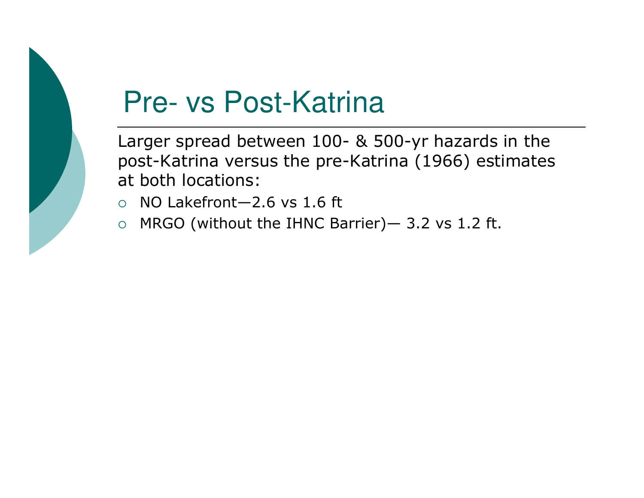

## Pre- vs Post-Katrina

Larger spread between 100- & 500-yr hazards in the post-Katrina versus the pre-Katrina (1966) estimates at both locations:

- $\circ$  NO Lakefront—2.6 vs 1.6 ft
- $\circ$ MRGO (without the IHNC Barrier)— 3.2 vs 1.2 ft.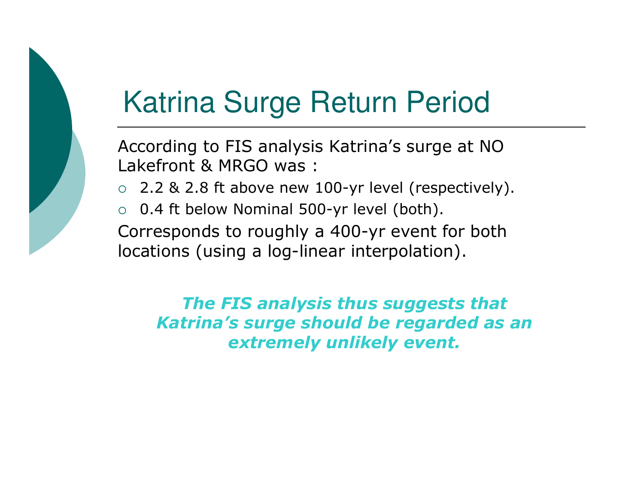

# Katrina Surge Return Period

According to FIS analysis Katrina's surge at NO Lakefront & MRGO was :

- $\circ$  2.2 & 2.8 ft above new 100-yr level (respectively).
- $\circ$  0.4 ft below Nominal 500-yr level (both).

Corresponds to roughly a 400-yr event for both locations (using a log-linear interpolation).

*The FIS analysis thus suggests that Katrina's surge should be regarded as an extremely unlikely event.*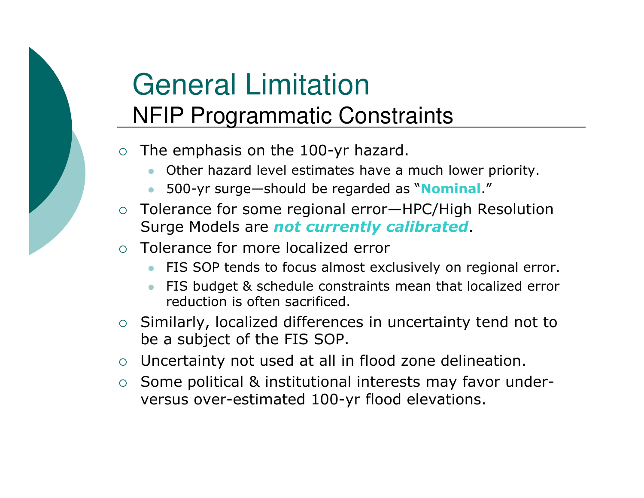## General LimitationNFIP Programmatic Constraints

- $\circ$  The emphasis on the 100-yr hazard.
	- -Other hazard level estimates have a much lower priority.
	- $\bullet$ 500-yr surge—should be regarded as "**Nominal**."
- o Tolerance for some regional error—HPC/High Resolution Surge Models are *not currently calibrated*.
- $\bigcap$  Tolerance for more localized error
	- $\bullet$ FIS SOP tends to focus almost exclusively on regional error.
	- - FIS budget & schedule constraints mean that localized error reduction is often sacrificed.
- o Similarly, localized differences in uncertainty tend not to be a subject of the FIS SOP.
- Uncertainty not used at all in flood zone delineation.
- Some political & institutional interests may favor underversus over-estimated 100-yr flood elevations.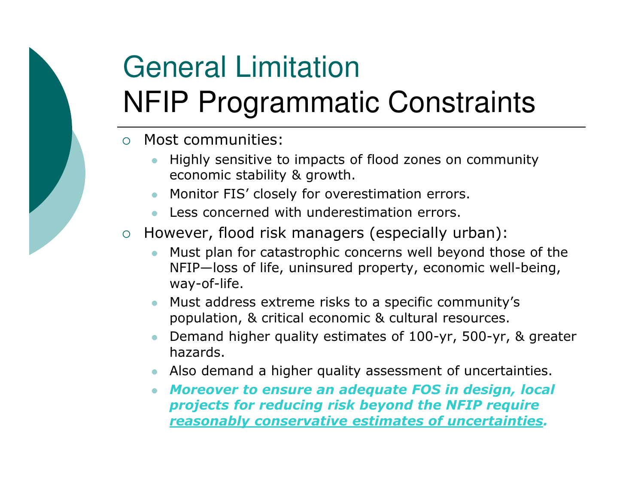# General LimitationNFIP Programmatic Constraints

- $\Omega$  Most communities:
	- $\bullet$  Highly sensitive to impacts of flood zones on community economic stability & growth.
	- $\bullet$ Monitor FIS' closely for overestimation errors.
	- Less concerned with underestimation errors.
- $\circ$  However, flood risk managers (especially urban):
	- $\bullet$  Must plan for catastrophic concerns well beyond those of the NFIP—loss of life, uninsured property, economic well-being, way-of-life.
	- $\bullet$  Must address extreme risks to a specific community's population, & critical economic & cultural resources.
	- $\bullet$  Demand higher quality estimates of 100-yr, 500-yr, & greater hazards.
	- Also demand a higher quality assessment of uncertainties.
	- *Moreover to ensure an adequate FOS in design, local projects for reducing risk beyond the NFIP require reasonably conservative estimates of uncertainties.*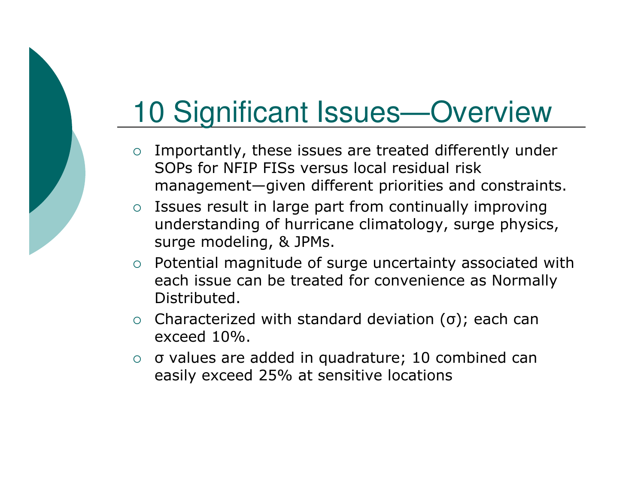## 10 Significant Issues—Overview

- o Importantly, these issues are treated differently under SOPs for NFIP FISs versus local residual risk management—given different priorities and constraints.
- o Issues result in large part from continually improving understanding of hurricane climatology, surge physics, surge modeling, & JPMs.
- o Potential magnitude of surge uncertainty associated with each issue can be treated for convenience as Normally Distributed.
- $\circ$  Characterized with standard deviation (σ); each can exceed 10%.
- σ values are added in quadrature; 10 combined can easily exceed 25% at sensitive locations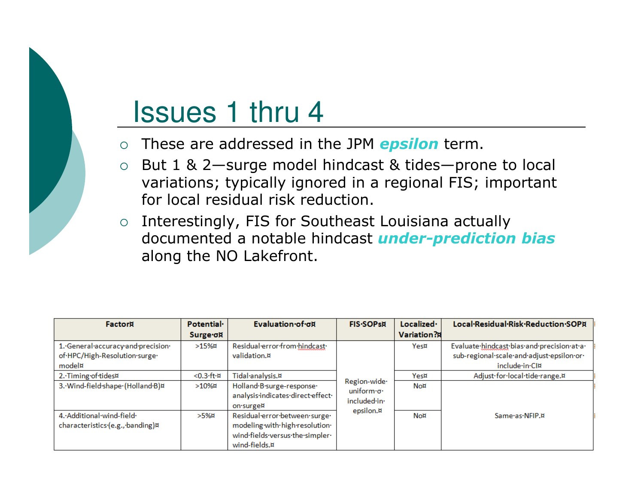## Issues 1 thru 4

- $\Omega$ These are addressed in the JPM *epsilon* term.
- $\circ$  But 1 & 2—surge model hindcast & tides—prone to local variations; typically ignored in a regional FIS; important for local residual risk reduction.
- o Interestingly, FIS for Southeast Louisiana actually documented a notable hindcast *under-prediction bias*along the NO Lakefront.

| Factorii                           | Potential.    | Evaluation of ox                  | <b>FIS-SOPSN</b>          | Localized ·        | Local·Residual·Risk·Reduction·SOPA         |
|------------------------------------|---------------|-----------------------------------|---------------------------|--------------------|--------------------------------------------|
|                                    | Surge σ¤      |                                   |                           | <b>Variation?A</b> |                                            |
| 1. General accuracy and precision. | $>15%$ ¤      | Residual error from hindcast      |                           | Yes¤               | Evaluate·hindcast·bias·and·precision·at·a· |
| of·HPC/High-Resolution·surge·      |               | validation.¤                      |                           |                    | sub-regional-scale-and-adjust-epsilon-or-  |
| model¤                             |               |                                   |                           |                    | include-in-CI¤                             |
| 2. Timing of tides¤                | $< 0.3$ ·ft·¤ | Tidal analysis.¤                  |                           | Yes¤               | Adjust for local tide range.¤              |
| 3. Wind-field shape (Holland B)¤   | $>10%$ ¤      | Holland.B.surge-response.         | Region-wide-<br>uniform o | No¤                |                                            |
|                                    |               | analysis-indicates-direct-effect- | included in               |                    |                                            |
|                                    |               | on surge¤                         | epsilon.¤                 |                    |                                            |
| 4. Additional wind-field           | $>5%$ ¤       | Residual-error-between-surge-     |                           | No¤                | Same·as·NFIP.¤                             |
| characteristics (e.g., banding)¤   |               | modeling with high resolution.    |                           |                    |                                            |
|                                    |               | wind fields versus the simpler    |                           |                    |                                            |
|                                    |               | wind-fields.¤                     |                           |                    |                                            |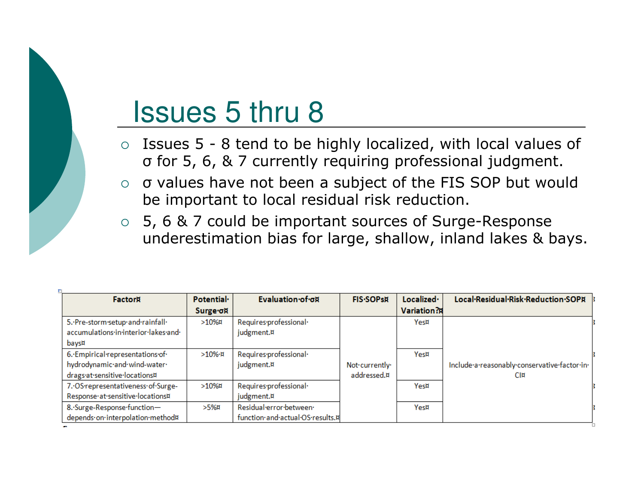## Issues 5 thru 8

- ο Issues 5 8 tend to be highly localized, with local values of  $\sigma$  for 5 6 & 7 currently requiring professional judament σ for 5, 6, & 7 currently requiring professional judgment.
- $\circ$  σ values have not been a subject of the FIS SOP but would be important to local residual risk reduction.
- 5, 6 & 7 could be important sources of Surge-Response underestimation bias for large, shallow, inland lakes & bays.

| Factor                                                                                           | Potential.<br>Surge σ¤ | Evaluation of ox                                           | <b>FIS-SOPSN</b>             | Localized ·<br>Variation?A | Local·Residual·Risk·Reduction·SOPA                  |
|--------------------------------------------------------------------------------------------------|------------------------|------------------------------------------------------------|------------------------------|----------------------------|-----------------------------------------------------|
| 5. Pre-storm setup and rainfall<br>accumulations·in·interior·lakes·and·<br>bays¤                 | $>10\%$                | Requires-professional-<br>judgment.¤                       |                              | Yes¤                       |                                                     |
| 6. Empirical representations of<br>hydrodynamic·and·wind-water·<br>drags at sensitive locations¤ | $>10\%$ H              | Requires-professional-<br>judgment.¤                       | Not currently<br>addressed.¤ | Yes¤                       | Include·a·reasonably·conservative·factor·in·<br>CI¤ |
| 7. OS representativeness of Surge-<br>Response at sensitive locations¤                           | $>10\%$                | Requires-professional-<br>judgment.¤                       |                              | Yes¤                       |                                                     |
| 8. Surge-Response function-<br>depends on interpolation method¤                                  | >5%¤                   | Residual error between<br>function·and·actual·OS·results.¤ |                              | Yes¤                       |                                                     |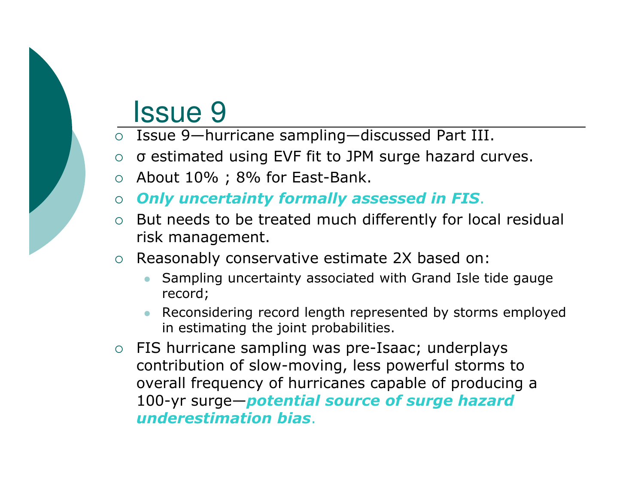#### Issue 9

- Issue 9—hurricane sampling—discussed Part III.
- σ estimated using EVF fit to JPM surge hazard curves.
- $\circ$  About 10%; 8% for East-Bank.
- *Only uncertainty formally assessed in FIS*.
- But needs to be treated much differently for local residual risk management.
- Reasonably conservative estimate 2X based on:
	- - Sampling uncertainty associated with Grand Isle tide gauge record;
	- Reconsidering record length represented by storms employed in estimating the joint probabilities.
- o FIS hurricane sampling was pre-Isaac; underplays contribution of slow-moving, less powerful storms to overall frequency of hurricanes capable of producing a 100-yr surge—*potential source of surge hazard underestimation bias*.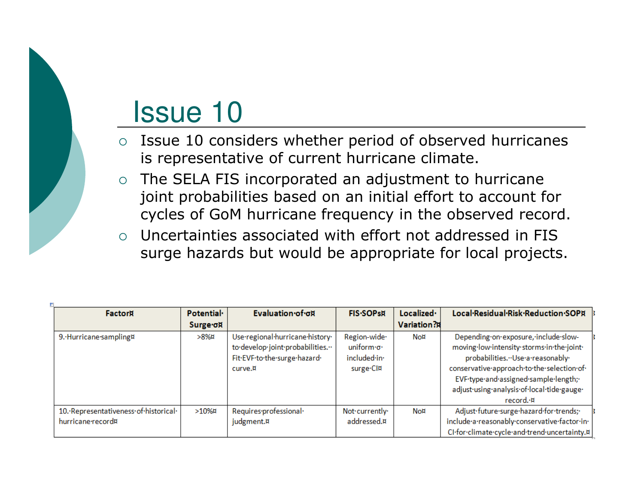#### Issue 10

- $\Omega$  Issue 10 considers whether period of observed hurricanes is representative of current hurricane climate.
- $\circ$  The SELA FIS incorporated an adjustment to hurricane joint probabilities based on an initial effort to account for cycles of GoM hurricane frequency in the observed record.<br>Uncertainties associated with effect not addressed in FIG
- $\Omega$  Uncertainties associated with effort not addressed in FIS surge hazards but would be appropriate for local projects.

| Factor                                                    | Potential.<br>Surge of | Evaluation of ox                                                                                               | <b>FIS-SOPSN</b>                                        | Localized ·<br>Variation?I | Local Residual Risk Reduction SOPA                                                                                                                                                                                                                                         |
|-----------------------------------------------------------|------------------------|----------------------------------------------------------------------------------------------------------------|---------------------------------------------------------|----------------------------|----------------------------------------------------------------------------------------------------------------------------------------------------------------------------------------------------------------------------------------------------------------------------|
| 9. Hurricane sampling¤                                    | >8%¤                   | Use·regional·hurricane·history·<br>to develop joint probabilities."<br>Fit.EVF.to.the.surge.hazard.<br>curve.¤ | Region-wide-<br>uniform o.<br>included-in-<br>surge.Cl¤ | No¤                        | Depending on exposure, include slow-<br>moving-low-intensity-storms-in-the-joint-<br>probabilities. ·· Use·a·reasonably·<br>conservative·approach·to·the·selection·of·<br>EVF-type-and-assigned-sample-length;-<br>adjust-using-analysis-of-local-tide-gauge-<br>record. ¤ |
| 10. Representativeness of historical<br>hurricane record¤ | $>10%$ ¤               | Requires-professional-<br>judgment.¤                                                                           | Not currently<br>addressed.¤                            | No¤                        | Adjust.future.surge.hazard.for.trends;<br>include·a·reasonably·conservative·factor·in·<br>CI-for-climate-cycle-and-trend-uncertainty.¤                                                                                                                                     |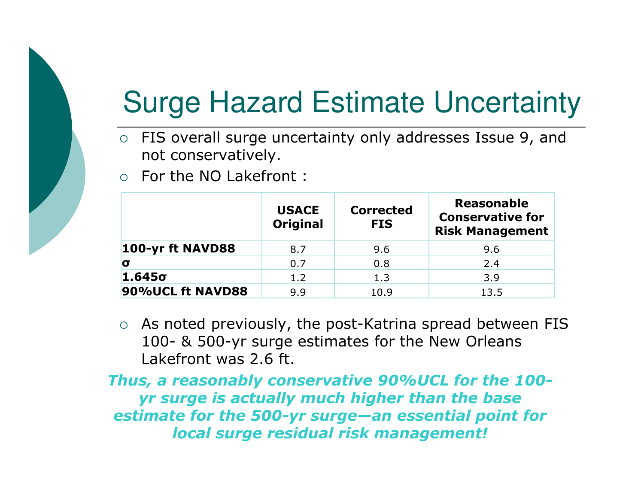

# Surge Hazard Estimate Uncertainty

- FIS overall surge uncertainty only addresses Issue 9, and not conservatively.
- o For the NO Lakefront :

|                  | <b>USACE</b><br><b>Original</b> | <b>Corrected</b><br><b>FIS</b> | <b>Reasonable</b><br><b>Conservative for</b><br><b>Risk Management</b> |
|------------------|---------------------------------|--------------------------------|------------------------------------------------------------------------|
| 100-yr ft NAVD88 | 8.7                             | 9.6                            | 9.6                                                                    |
| 0                | 0.7                             | 0.8                            | 2.4                                                                    |
| $1.645\sigma$    | 1.2                             | 1.3                            | 3.9                                                                    |
| 90%UCL ft NAVD88 | 9.9                             | 10.9                           | 13.5                                                                   |

 $\circ$  As noted previously, the post-Katrina spread between FIS 100- & 500-yr surge estimates for the New Orleans Lakefront was 2.6 ft.

*Thus, a reasonably conservative 90%UCL for the 100yr surge is actually much higher than the base estimate for the 500-yr surge—an essential point for local surge residual risk management!*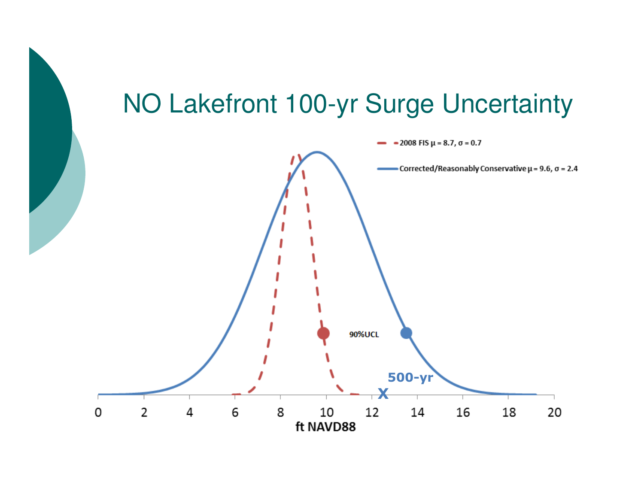#### NO Lakefront 100-yr Surge Uncertainty

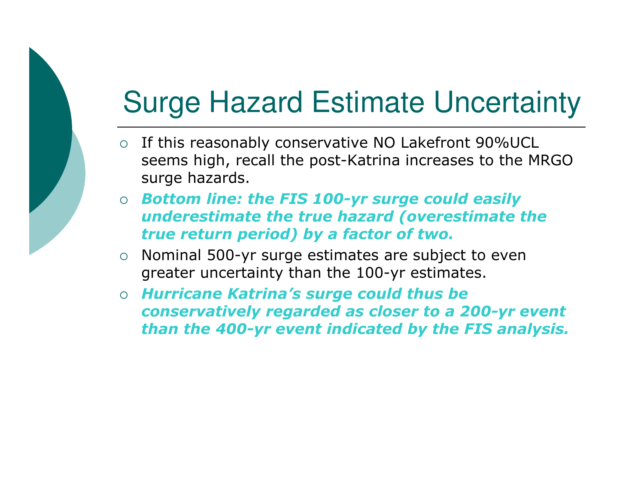## Surge Hazard Estimate Uncertainty

- o If this reasonably conservative NO Lakefront 90%UCL seems high, recall the post-Katrina increases to the MRGO surge hazards.
- $\circ$  *Bottom line: the FIS 100-yr surge could easily underestimate the true hazard (overestimate the true return period) by a factor of two.*
- $\circ$  Nominal 500-yr surge estimates are subject to even greater uncertainty than the 100-yr estimates.
- *Hurricane Katrina's surge could thus be conservatively regarded as closer to a 200-yr event than the 400-yr event indicated by the FIS analysis.*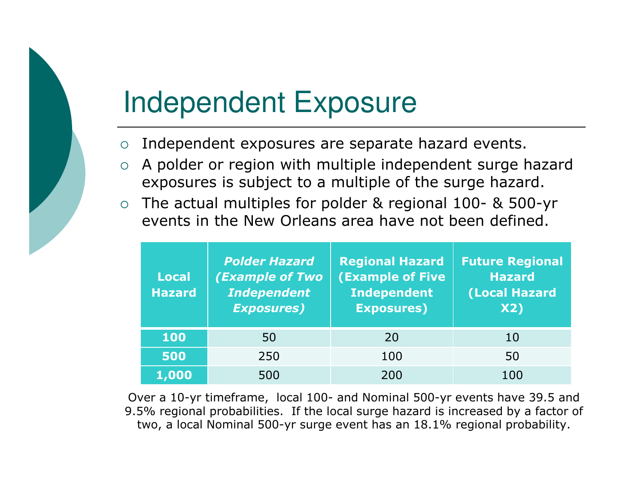## Independent Exposure

- $\circ$ Independent exposures are separate hazard events.
- $\Omega$  A polder or region with multiple independent surge hazard exposures is subject to a multiple of the surge hazard.
- $\circ$  The actual multiples for polder & regional 100- & 500-yr events in the New Orleans area have not been defined.

| <b>Local</b><br><b>Hazard</b> | <b>Polder Hazard</b><br><b>(Example of Two</b><br><b>Independent</b><br><b>Exposures)</b> | <b>Regional Hazard</b><br><b>(Example of Five</b><br><b>Independent</b><br><b>Exposures)</b> | <b>Future Regional</b><br><b>Hazard</b><br>(Local Hazard<br><b>X2)</b> |
|-------------------------------|-------------------------------------------------------------------------------------------|----------------------------------------------------------------------------------------------|------------------------------------------------------------------------|
| 100                           | 50                                                                                        | 20                                                                                           | 10                                                                     |
| 500                           | 250                                                                                       | 100                                                                                          | 50                                                                     |
| 1,000                         | 500                                                                                       | 200                                                                                          | 100                                                                    |

Over a 10-yr timeframe, local 100- and Nominal 500-yr events have 39.5 and 9.5% regional probabilities. If the local surge hazard is increased by a factor of two, a local Nominal 500-yr surge event has an 18.1% regional probability.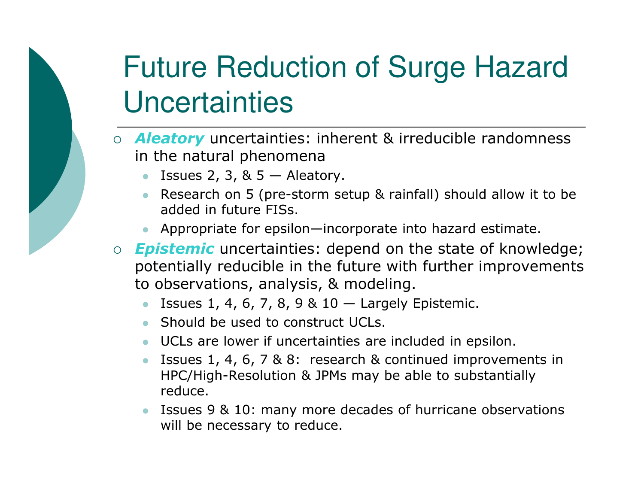# Future Reduction of Surge Hazard **Uncertainties**

- *Aleatory* uncertainties: inherent & irreducible randomness in the natural phenomena
	- **Issues 2, 3, & 5 Aleatory.**<br>Pessarsh an E (nrs. starm.gr  $\bullet$
	- Research on 5 (pre-storm setup & rainfall) should allow it to be added in future FISs.
	- Appropriate for epsilon—incorporate into hazard estimate.
- *Epistemic* uncertainties: depend on the state of knowledge; potentially reducible in the future with further improvements to observations, analysis, & modeling.
	- $\bullet$ Issues 1, 4, 6, 7, 8, 9 &  $10 -$  Largely Epistemic.
	- Should be used to construct UCLs.
	- UCLs are lower if uncertainties are included in epsilon.
	- **ISSUES 1, 4, 6, 7 & 8: research & continued improvements in** HPC/High-Resolution & JPMs may be able to substantially reduce.
	- **SED ISSUES 9 & 10: Many more decades of hurricane observations** will be necessary to reduce.